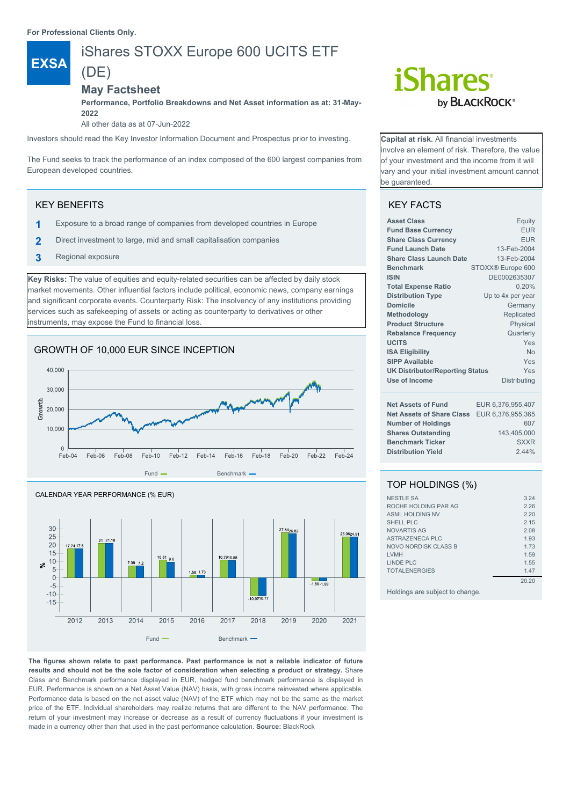**For Professional Clients Only.**

**EXSA**

# iShares STOXX Europe 600 UCITS ETF (DE)

# **May Factsheet**

**Performance, Portfolio Breakdowns and Net Asset information as at: 31-May-2022**

All other data as at 07-Jun-2022

Investors should read the Key Investor Information Document and Prospectus prior to investing.

The Fund seeks to track the performance of an index composed of the 600 largest companies from European developed countries.

# KEY BENEFITS

- **1** Exposure to a broad range of companies from developed countries in Europe
- **2** Direct investment to large, mid and small capitalisation companies
- **3** Regional exposure

**Key Risks:** The value of equities and equity-related securities can be affected by daily stock market movements. Other influential factors include political, economic news, company earnings and significant corporate events. Counterparty Risk: The insolvency of any institutions providing services such as safekeeping of assets or acting as counterparty to derivatives or other instruments, may expose the Fund to financial loss.

# GROWTH OF 10,000 EUR SINCE INCEPTION





**The figures shown relate to past performance. Past performance is not a reliable indicator of future results and should not be the sole factor of consideration when selecting a product or strategy.** Share Class and Benchmark performance displayed in EUR, hedged fund benchmark performance is displayed in EUR. Performance is shown on a Net Asset Value (NAV) basis, with gross income reinvested where applicable. Performance data is based on the net asset value (NAV) of the ETF which may not be the same as the market price of the ETF. Individual shareholders may realize returns that are different to the NAV performance. The return of your investment may increase or decrease as a result of currency fluctuations if your investment is made in a currency other than that used in the past performance calculation. **Source:** BlackRock

# **iShares** by **BLACKROCK**<sup>®</sup>

**Capital at risk.** All financial investments involve an element of risk. Therefore, the value of your investment and the income from it will vary and your initial investment amount cannot be guaranteed.

# KEY FACTS

| <b>Asset Class</b>                     | Equity            |  |  |
|----------------------------------------|-------------------|--|--|
| <b>Fund Base Currency</b>              | <b>EUR</b>        |  |  |
| <b>Share Class Currency</b>            | <b>EUR</b>        |  |  |
| <b>Fund Launch Date</b>                | 13-Feb-2004       |  |  |
| <b>Share Class Launch Date</b>         | 13-Feb-2004       |  |  |
| <b>Benchmark</b>                       | STOXX® Europe 600 |  |  |
| <b>ISIN</b>                            | DE0002635307      |  |  |
| <b>Total Expense Ratio</b>             | 0.20%             |  |  |
| <b>Distribution Type</b>               | Up to 4x per year |  |  |
| Domicile                               | Germany           |  |  |
| Methodology                            | Replicated        |  |  |
| <b>Product Structure</b><br>Physical   |                   |  |  |
| <b>Rebalance Frequency</b>             | Quarterly         |  |  |
| <b>UCITS</b>                           | Yes               |  |  |
| <b>ISA Eligibility</b>                 | <b>No</b>         |  |  |
| <b>SIPP Available</b>                  | Yes               |  |  |
| <b>UK Distributor/Reporting Status</b> | Yes               |  |  |
| Use of Income                          | Distributing      |  |  |
| <b>Net Assets of Fund</b>              | EUR 6,376,955,407 |  |  |
| <b>Net Assets of Share Class</b>       | EUR 6,376,955,365 |  |  |
| <b>Number of Holdings</b>              | 607               |  |  |
| <b>Shares Outstanding</b>              | 143.405.000       |  |  |
| <b>Benchmark Ticker</b>                | <b>SXXR</b>       |  |  |
| <b>Distribution Yield</b>              | 2.44%             |  |  |

# TOP HOLDINGS (%)

| <b>NESTLE SA</b>       | 3.24  |
|------------------------|-------|
| ROCHE HOLDING PAR AG   | 2.26  |
| <b>ASML HOLDING NV</b> | 2.20  |
| SHELL PLC              | 215   |
| <b>NOVARTIS AG</b>     | 2.08  |
| ASTRAZENECA PLC        | 1.93  |
| NOVO NORDISK CLASS B   | 1 73  |
| <b>I VMH</b>           | 1.59  |
| LINDE PLC              | 1.55  |
| <b>TOTALENERGIES</b>   | 1.47  |
|                        | 20.20 |
|                        |       |

Holdings are subject to change.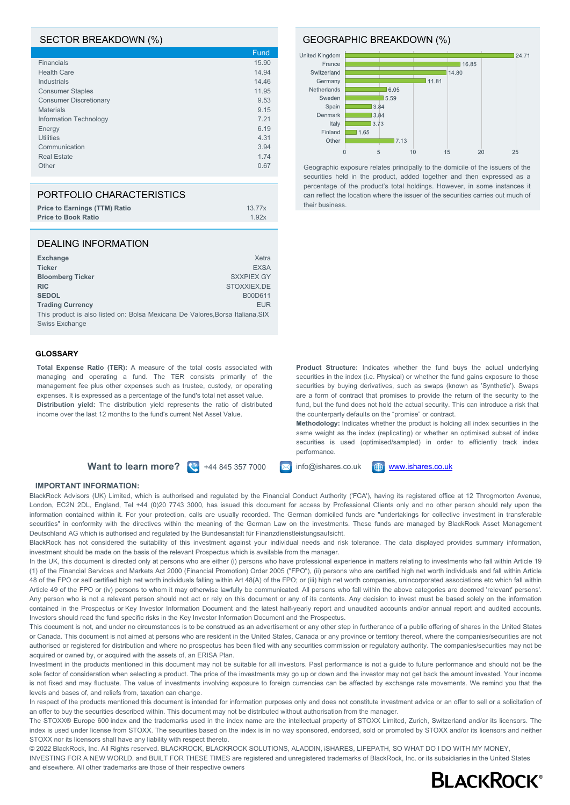## SECTOR BREAKDOWN (%)

|                               | Fund  |
|-------------------------------|-------|
| <b>Financials</b>             | 15.90 |
| <b>Health Care</b>            | 14.94 |
| Industrials                   | 14.46 |
| <b>Consumer Staples</b>       | 11.95 |
| <b>Consumer Discretionary</b> | 9.53  |
| <b>Materials</b>              | 9.15  |
| Information Technology        | 7.21  |
| Energy                        | 6.19  |
| <b>Utilities</b>              | 4.31  |
| Communication                 | 3.94  |
| <b>Real Estate</b>            | 1.74  |
| Other                         | 0.67  |
|                               |       |

| PORTFOLIO CHARACTERISTICS            |                    |
|--------------------------------------|--------------------|
| <b>Price to Earnings (TTM) Ratio</b> | 13.77 <sub>x</sub> |
| <b>Price to Book Ratio</b>           | 1.92x              |

#### DEALING INFORMATION

| <b>Exchange</b>         | Xetra                                                                          |
|-------------------------|--------------------------------------------------------------------------------|
| <b>Ticker</b>           | <b>EXSA</b>                                                                    |
| <b>Bloomberg Ticker</b> | <b>SXXPIEX GY</b>                                                              |
| <b>RIC</b>              | STOXXIEX.DE                                                                    |
| <b>SEDOL</b>            | B00D611                                                                        |
| <b>Trading Currency</b> | <b>EUR</b>                                                                     |
|                         | This product is also listed on: Bolsa Mexicana De Valores, Borsa Italiana, SIX |
| Swiss Exchange          |                                                                                |

#### **GLOSSARY**

**Total Expense Ratio (TER):** A measure of the total costs associated with managing and operating a fund. The TER consists primarily of the management fee plus other expenses such as trustee, custody, or operating expenses. It is expressed as a percentage of the fund's total net asset value. **Distribution yield:** The distribution yield represents the ratio of distributed income over the last 12 months to the fund's current Net Asset Value.

# **Want to learn more?**  $\left(\frac{1}{2}\right)$  +44 845 357 7000  $\left[\frac{1}{2}\right]$  info@ishares.co.uk  $\left[\frac{1}{2}\right]$  [www.ishares.co.uk](http://www.ishares.co.uk)

performance.

the counterparty defaults on the "promise" or contract.

**Product Structure:** Indicates whether the fund buys the actual underlying securities in the index (i.e. Physical) or whether the fund gains exposure to those securities by buying derivatives, such as swaps (known as 'Synthetic'). Swaps are a form of contract that promises to provide the return of the security to the fund, but the fund does not hold the actual security. This can introduce a risk that

**Methodology:** Indicates whether the product is holding all index securities in the same weight as the index (replicating) or whether an optimised subset of index securities is used (optimised/sampled) in order to efficiently track index

### **IMPORTANT INFORMATION:**

BlackRock Advisors (UK) Limited, which is authorised and regulated by the Financial Conduct Authority ('FCA'), having its registered office at 12 Throgmorton Avenue, London, EC2N 2DL, England, Tel +44 (0)20 7743 3000, has issued this document for access by Professional Clients only and no other person should rely upon the information contained within it. For your protection, calls are usually recorded. The German domiciled funds are "undertakings for collective investment in transferable securities" in conformity with the directives within the meaning of the German Law on the investments. These funds are managed by BlackRock Asset Management Deutschland AG which is authorised and regulated by the Bundesanstalt für Finanzdienstleistungsaufsicht.

BlackRock has not considered the suitability of this investment against your individual needs and risk tolerance. The data displayed provides summary information, investment should be made on the basis of the relevant Prospectus which is available from the manager.

In the UK, this document is directed only at persons who are either (i) persons who have professional experience in matters relating to investments who fall within Article 19 (1) of the Financial Services and Markets Act 2000 (Financial Promotion) Order 2005 ("FPO"), (ii) persons who are certified high net worth individuals and fall within Article 48 of the FPO or self certified high net worth individuals falling within Art 48(A) of the FPO; or (iii) high net worth companies, unincorporated associations etc which fall within Article 49 of the FPO or (iv) persons to whom it may otherwise lawfully be communicated. All persons who fall within the above categories are deemed 'relevant' persons'. Any person who is not a relevant person should not act or rely on this document or any of its contents. Any decision to invest must be based solely on the information contained in the Prospectus or Key Investor Information Document and the latest half-yearly report and unaudited accounts and/or annual report and audited accounts. Investors should read the fund specific risks in the Key Investor Information Document and the Prospectus.

This document is not, and under no circumstances is to be construed as an advertisement or any other step in furtherance of a public offering of shares in the United States or Canada. This document is not aimed at persons who are resident in the United States, Canada or any province or territory thereof, where the companies/securities are not authorised or registered for distribution and where no prospectus has been filed with any securities commission or regulatory authority. The companies/securities may not be acquired or owned by, or acquired with the assets of, an ERISA Plan.

Investment in the products mentioned in this document may not be suitable for all investors. Past performance is not a guide to future performance and should not be the sole factor of consideration when selecting a product. The price of the investments may go up or down and the investor may not get back the amount invested. Your income is not fixed and may fluctuate. The value of investments involving exposure to foreign currencies can be affected by exchange rate movements. We remind you that the levels and bases of, and reliefs from, taxation can change.

In respect of the products mentioned this document is intended for information purposes only and does not constitute investment advice or an offer to sell or a solicitation of an offer to buy the securities described within. This document may not be distributed without authorisation from the manager.

The STOXX® Europe 600 index and the trademarks used in the index name are the intellectual property of STOXX Limited, Zurich, Switzerland and/or its licensors. The index is used under license from STOXX. The securities based on the index is in no way sponsored, endorsed, sold or promoted by STOXX and/or its licensors and neither STOXX nor its licensors shall have any liability with respect thereto.

© 2022 BlackRock, Inc. All Rights reserved. BLACKROCK, BLACKROCK SOLUTIONS, ALADDIN, iSHARES, LIFEPATH, SO WHAT DO I DO WITH MY MONEY, INVESTING FOR A NEW WORLD, and BUILT FOR THESE TIMES are registered and unregistered trademarks of BlackRock, Inc. or its subsidiaries in the United States and elsewhere. All other trademarks are those of their respective owners



### GEOGRAPHIC BREAKDOWN (%)



Geographic exposure relates principally to the domicile of the issuers of the securities held in the product, added together and then expressed as a percentage of the product's total holdings. However, in some instances it can reflect the location where the issuer of the securities carries out much of their business.